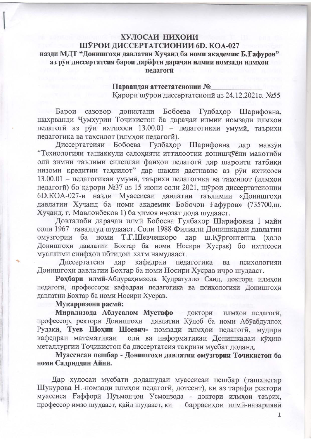## ХУЛОСАИ НИХОИИ ШЎРОИ ДИССЕРТАТСИОНИИ 6D. КОА-027 назди МДТ "Донишгохи давлатии Хучанд ба номи академик Б. Гафуров" аз руи диссертатсия барои дарёфти дарачаи илмии номзади илмхои педагоги

## Парвандаи аттестатсионии № Карори шурои диссертатсиони аз 24.12.2021с. №55

Барои сазовор донистани Бобоева Гулбахор Шарифовна. шахрванди Чумхурии Точикистон ба дарачаи илмии номзади илмхои педагоги аз руи ихтисоси 13.00.01 - педагогикаи умуми, таърихи педагогика ва тахсилот (илмхои педагогй).

Диссертатсияи Бобоева Гулбахор Шарифовна дар мавзуи "Технологияи ташаккули салохияти иттилоотии донишчуёни макотиби оли зимни таълими силсилаи фанхои педагоги дар шароити татбики низоми кредитии тахсилот" дар шакли дастнавис аз руи ихтисоси 13.00.01 - педагогикаи умуми, таърихи педагогика ва тахсилот (илмхои педагоги) бо карори №37 аз 15 июни соли 2021, шурои диссертатсионии 6D.КОА-027-и назди Муассисаи давлатии таълимии «Донишгохи давлатии Хучанд ба номи академик Бобочон Ғафуров» (735700.ш. Хучанд, г. Мавлонбеков 1) ба химоя ичозат дода шудааст.

Довталаби дарачаи илми Бобоева Гулбахор Шарифовна 1 майи соли 1967 таваллуд шудааст. Соли 1988 Филиали Донишкадаи давлатии омузгории ба номи Т.Г.Шевченкоро дар ш.Кургонтеппа (холо Донишгохи давлатии Бохтар ба номи Носири Хусрав) бо ихтисоси муаллими синфхои ибтидой хатм намудааст.

Диссертатсия дар кафедраи педагогика ва психологияи Донишгохи давлатии Бохтар ба номи Носири Хусрав ичро шудааст.

Рохбари илми-Абдурахимзода Кудратулло Саид, доктори илмхои педагоги, профессори кафедраи педагогика ва психологияи Донишгохи давлатии Бохтар ба номи Носири Хусрав.

## Мукарризони расми:

Мирализода Абдусалом Мустафо - доктори илмхои педагоги, профессор, ректори Донишгохи давлатии Кулоб ба номи Абуабдуллох Рудаки, Туев Шохин Шоевич- номзади илмхои педагоги, мудири кафедраи математикаи олй ва информатикаи Донишкадаи кухию металлургии Точикистон ба диссертатсия такризи мусбат доданд.

Муассисаи пешбар - Донишгохи давлатии омузгории Точикистон ба номи Садриддин Айни.

Дар хулосаи мусбати додашудаи муассисаи пешбар (ташхисгар Шукурова Н.-номзади илмхои педагоги, дотсент), ки аз тарафи ректори муассиса Ғаффори Нуъмончон Усмонзода - доктори илмхои таърих, профессор имзо шудааст, қайд шудааст, ки баррасихои илми-назарияви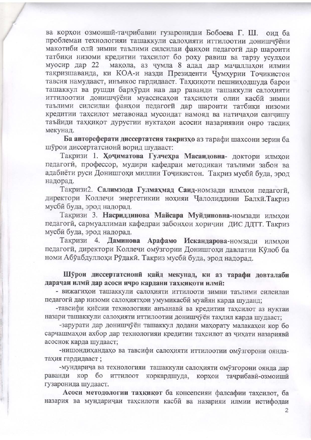ва корхои озмоиши-тачрибавии гузаронидаи Бобоева Г. Ш. оил ба проблемаи технологияи ташаккули салохияти иттилоотии донишчуёни макотиби олй зимни таълими силсилаи фанхои педагоги дар шароити татбики низоми кредитии тахсилот бо роху равиш ва тарзу усулхои муосир дар 22 мақола, аз чумла 8 адад дар мачаллахои илмии такризшаванда, ки КОА-и назди Президенти Чумхурии Точикистон тавсия намудааст, инъикос гардидааст. Тахкикоти пешниходшуда барои ташаккул ва рушди бархурди нав дар раванди ташаккули салохияти иттилоотии донишчуёни муассисахои тахсилоти олии касби зимни таълими силсилаи фанхои педагоги дар шароити татбики низоми кредитии тахсилот метавонад мусоидат намояд ва натичахои санчишу таъйиди тахкикот дурустии нуктахои асосии назариявии онро тасдик мекунад.

Ба автореферати диссертатсия такризхо аз тарафи шахсони зерин ба шурои диссертатсиони ворид шудааст:

Такризи 1. Хочиматова Гулчехра Масаидовна- доктори илмхои педагоги, профессор, мудири кафедраи методикаи таълими забон ва адабиёти руси Донишгохи миллии Точикистон. Такриз мусби буда, эрод надорад.

Такризи2. Салимзода Гулмахмад Саид-номзади илмхои педагоги. директори Коллечи энергетикии нохияи Чалолиддини Балхи. Такриз мусби буда, эрод надорад.

Такризи 3. Насриддинова Майсара Муйдиновна-номзади илмхои педагоги, сармуаллимаи кафедраи забонхои хоричии ДИС ДДТТ. Такриз мусби буда, эрод надорад.

Такризи 4. Даминова Арафамо Искандарова-номзади илмхои педагоги, директори Коллечи омузгории Донишгохи давлатии Кулоб ба номи Абуабдуллохи Рудаки. Такриз мусби буда, эрод надорад.

Шурои диссертатсиони кайд мекунад, ки аз тарафи довталаби дарачаи илми дар асоси ичро кардани тахкикоти илми:

- вижагихои ташаккули салохияти иттилооти зимни таълими силсилаи педагоги дар низоми салохиятхои умумикасби муайян карда шуданд;

-тавсифи киёсии технологияи анъанави ва кредитии тахсилот аз нуктаи назари ташаккули салохияти иттилоотии донишчуён тахлил карда шудааст;

-зарурати дар донишчуён ташаккул додани махорату малакахои кор бо сарчашмахои ахбор дар технологияи кредитии тахсилот аз чихати назарияви асоснок карда шудааст;

-нишондихандахо ва тавсифи салохияти иттилоотии омузгорони ояндатахия гардидааст;

-мундарича ва технологияи ташаккули салохияти омузгорони оянда дар раванди кор бо иттилоот коркардшуда, тачрибави-озмоиши корхои гузаронида шудааст.

Асоси методологии тахкикот ба консепсияи фалсафии тахсилот, ба назария ва мундаричаи тахсилоти касби ва назарияи илмии истифодаи

 $\overline{2}$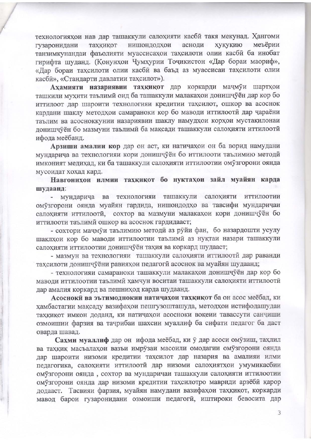технологияхои нав дар ташаккули салохияти касби такя мекунад. Хангоми нишондодхои асноди хукукию меъёрии гузаронидани тахкикот танзимкунандаи фаъолияти муассисахои тахсилоти олии касби ба инобат гирифта шуданд. (Конунхои Чумхурии Точикистон «Дар бораи маориф», «Дар бораи тахсилоти олии касби ва баъд аз муассисаи тахсилоти олии касби», «Стандарти давлатии тахсилот»).

Ахамияти назариявии тахкикот дар коркарди мачмуи шартхои ташкили мухити таълими оид ба ташаккули малакахои донишчуён дар кор бо иттилоот дар шароити технологияи кредитии тахсилот, ошкор ва асоснок кардани шаклу методхои самараноки кор бо маводи иттилооти дар чараёни таълим ва асосноккунии назариявии шаклу намудхои корхои мустакилонаи лонишчуён бо мазмуни таълими ба максади ташаккули салохияти иттилооти ифода меёбанд.

Арзиши амалии кор дар он аст, ки натичахои он ба ворид намудани мундарича ва технологияи кори донишчуён бо иттилооти таълимию методи имконият медихад, ки ба ташаккули салохияти иттилоотии омузгорони оянда мусоидат хохад кард.

Навгонихои илмии тахкикот бо нуктахои зайл муайян карда шудаанд:

- мундарича ва технологияи ташаккули салохияти иттилоотии омузгорони оянда муайян гардида, нишондодхо ва тавсифи мундаричаи салохияти иттилооти, сохтор ва мазмуни малакахои кори донишчуён бо иттилооти таълими ошкор ва асоснок гардидааст;

- сохтори мачмуи таълимию методи аз руйи фан, бо назардошти усулу шаклхои кор бо маводи иттилоотии таълими аз нуктаи назари ташаккули салохияти иттилоотии донишчуён тахия ва коркард шудааст;

- мазмун ва технологияи ташаккули салохияти иттилоотй дар раванди тахсилоти донишчуёни равияхои педагоги асоснок ва муайян шудаанд:

- технологияи самараноки ташаккули малакахои донишчуён дар кор бо маводи иттилоотии таълими хамчун воситаи ташаккули салохияти иттилооти дар амалия коркард ва пешниход карда шудаанд.

Асосноки ва эътимоднокии натичахои тахкикот ба он асос меёбад, ки хамбастагии мақсаду вазифахои пешгузошташуда, методхои истифодашудан тахкикот имкон доданд, ки натичахои асосноки вокеии тавассути санчиши озмоишии фарзия ва тачрибаи шахсии муаллиф ба сифати педагог ба даст оварда шавад.

Сахми муаллиф дар он ифода меёбад, ки ў дар асоси омузиш, тахлил ва тахкик масъалахои вазъи имрузаи масоили омодагии омузгорони оянда дар шароити низоми кредитии тахсилот дар назария ва амалияи илми педагогика, салохияти иттилооти дар низоми салохиятхои умумикасбии омузгорони оянда, сохтор ва мундаричаи ташаккули салохияти иттилоотии омузгорони оянда дар низоми кредитии тахсилотро мавриди арзёби карор додааст. Тасвияи фарзия, муайян намудани вазифахои тахкикот, коркарди мавод барои гузаронидани озмоиши педагоги, иштироки бевосита дар